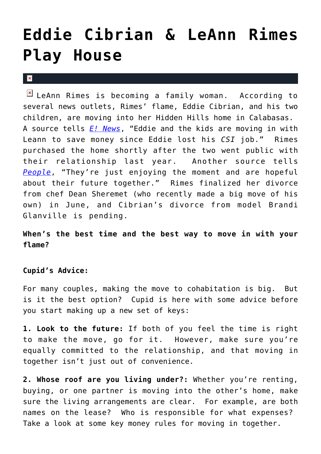## **[Eddie Cibrian & LeAnn Rimes](https://cupidspulse.com/2751/eddie-cibrian-leann-rimes-play-house/) [Play House](https://cupidspulse.com/2751/eddie-cibrian-leann-rimes-play-house/)**

 $\mathbf{x}$ 

 $E$  LeAnn Rimes is becoming a family woman. According to several news outlets, Rimes' flame, Eddie Cibrian, and his two children, are moving into her Hidden Hills home in Calabasas. A source tells *[E! News](http://www.eonline.com/uberblog/b192186_eddie_cibrian_kids_move_in_with_leann.html)*, "Eddie and the kids are moving in with Leann to save money since Eddie lost his *CSI* job." Rimes purchased the home shortly after the two went public with their relationship last year. Another source tells *[People](http://www.people.com/people/article/0,,20405550,00.html)*, "They're just enjoying the moment and are hopeful about their future together." Rimes finalized her divorce from chef Dean Sheremet (who recently made a big move of his own) in June, and Cibrian's divorce from model Brandi Glanville is pending.

**When's the best time and the best way to move in with your flame?**

## **Cupid's Advice:**

For many couples, making the move to cohabitation is big. But is it the best option? Cupid is here with some advice before you start making up a new set of keys:

**1. Look to the future:** If both of you feel the time is right to make the move, go for it. However, make sure you're equally committed to the relationship, and that moving in together isn't just out of convenience.

**2. Whose roof are you living under?:** Whether you're renting, buying, or one partner is moving into the other's home, make sure the living arrangements are clear. For example, are both names on the lease? Who is responsible for what expenses? Take a look at some key money rules for moving in together.